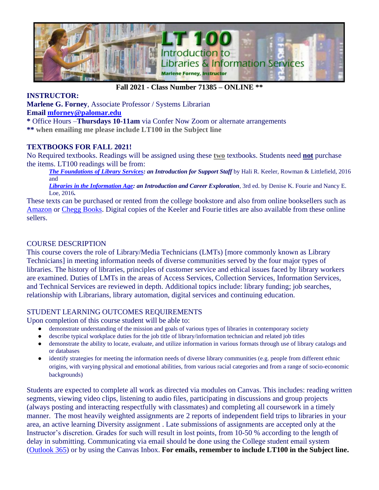

### **Fall 2021 - Class Number 71385 – ONLINE \*\***

#### **INSTRUCTOR:**

**Marlene G. Forney**, Associate Professor / Systems Librarian

**Email [mforney@palomar.edu](mailto:mforney@palomar.edu)**

**\*** Office Hours –**Thursdays 10-11am** via Confer Now Zoom or alternate arrangements **\*\* when emailing me please include LT100 in the Subject line**

#### **TEXTBOOKS FOR FALL 2021!**

No Required textbooks. Readings will be assigned using these **two** textbooks. Students need **not** purchase the items. LT100 readings will be from:

*[The Foundations of Library Services:](https://login.ezproxy.palomar.edu/login?url=https://search.ebscohost.com/login.aspx?direct=true&db=nlebk&AN=2752358&site=ehost-live&scope=site) an Introduction for Support Staff* by Hali R. Keeler, Rowman & Littlefield, 2016 and

*[Libraries in the Information Age:](https://login.ezproxy.palomar.edu/login?url=https://search.ebscohost.com/login.aspx?direct=true&db=nlebk&AN=1227135&site=ehost-live&scope=site) an Introduction and Career Exploration*, 3rd ed. by Denise K. Fourie and Nancy E. Loe, 2016*.* 

These texts can be purchased or rented from the college bookstore and also from online booksellers such as [Amazon](https://www.amazon.com/books-used-books-textbooks/b/ref=topnav_storetab_b?ie=UTF8&node=283155) or [Chegg Books.](https://www.chegg.com/books) Digital copies of the Keeler and Fourie titles are also available from these online sellers.

#### COURSE DESCRIPTION

This course covers the role of Library/Media Technicians (LMTs) [more commonly known as Library Technicians] in meeting information needs of diverse communities served by the four major types of libraries. The history of libraries, principles of customer service and ethical issues faced by library workers are examined. Duties of LMTs in the areas of Access Services, Collection Services, Information Services, and Technical Services are reviewed in depth. Additional topics include: library funding; job searches, relationship with Librarians, library automation, digital services and continuing education.

### STUDENT LEARNING OUTCOMES REQUIREMENTS

Upon completion of this course student will be able to:

- demonstrate understanding of the mission and goals of various types of libraries in contemporary society
- describe typical workplace duties for the job title of library/information technician and related job titles
- demonstrate the ability to locate, evaluate, and utilize information in various formats through use of library catalogs and or databases
- identify strategies for meeting the information needs of diverse library communities (e.g. people from different ethnic origins, with varying physical and emotional abilities, from various racial categories and from a range of socio-economic backgrounds)

Students are expected to complete all work as directed via modules on Canvas. This includes: reading written segments, viewing video clips, listening to audio files, participating in discussions and group projects (always posting and interacting respectfully with classmates) and completing all coursework in a timely manner. The most heavily weighted assignments are 2 reports of independent field trips to libraries in your area, an active learning Diversity assignment . Late submissions of assignments are accepted only at the Instructor's discretion. Grades for such will result in lost points, from 10-50 % according to the length of delay in submitting. Communicating via email should be done using the College student email system [\(Outlook 365\)](http://www.outlook.com/student.palomar.edu) or by using the Canvas Inbox. **For emails, remember to include LT100 in the Subject line.**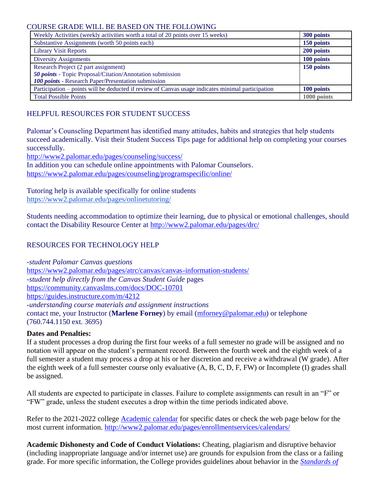#### COURSE GRADE WILL BE BASED ON THE FOLLOWING

| Weekly Activities (weekly activities worth a total of 20 points over 15 weeks)                    | 300 points  |
|---------------------------------------------------------------------------------------------------|-------------|
| Substantive Assignments (worth 50 points each)                                                    | 150 points  |
| <b>Library Visit Reports</b>                                                                      | 200 points  |
| <b>Diversity Assignments</b>                                                                      | 100 points  |
| Research Project (2 part assignment)                                                              | 150 points  |
| 50 points - Topic Proposal/Citation/Annotation submission                                         |             |
| 100 points - Research Paper/Presentation submission                                               |             |
| Participation – points will be deducted if review of Canvas usage indicates minimal participation | 100 points  |
| <b>Total Possible Points</b>                                                                      | 1000 points |

# HELPFUL RESOURCES FOR STUDENT SUCCESS

Palomar's Counseling Department has identified many attitudes, habits and strategies that help students succeed academically. Visit their Student Success Tips page for additional help on completing your courses successfully.

<http://www2.palomar.edu/pages/counseling/success/>

In addition you can schedule online appointments with Palomar Counselors. <https://www2.palomar.edu/pages/counseling/programspecific/online/>

Tutoring help is available specifically for online students <https://www2.palomar.edu/pages/onlinetutoring/>

Students needing accommodation to optimize their learning, due to physical or emotional challenges, should contact the Disability Resource Center at<http://www2.palomar.edu/pages/drc/>

## RESOURCES FOR TECHNOLOGY HELP

-*student Palomar Canvas questions* <https://www2.palomar.edu/pages/atrc/canvas/canvas-information-students/> *-student help directly from the Canvas Student Guide* pages <https://community.canvaslms.com/docs/DOC-10701> <https://guides.instructure.com/m/4212> -*understanding course materials and assignment instructions*  contact me, your Instructor (**Marlene Forney**) by email [\(mforney@palomar.edu\)](mailto:mforney@palomar.edu) or telephone (760.744.1150 ext. 3695)

#### **Dates and Penalties:**

If a student processes a drop during the first four weeks of a full semester no grade will be assigned and no notation will appear on the student's permanent record. Between the fourth week and the eighth week of a full semester a student may process a drop at his or her discretion and receive a withdrawal (W grade). After the eighth week of a full semester course only evaluative (A, B, C, D, F, FW) or Incomplete (I) grades shall be assigned.

All students are expected to participate in classes. Failure to complete assignments can result in an "F" or "FW" grade, unless the student executes a drop within the time periods indicated above.

Refer to the 2021-2022 college [Academic](https://www2.palomar.edu/pages/enrollmentservices/files/2021/04/Acad-Cal-21-22_BoardApproved_210406.pdf) calendar for specific dates or check the web page below for the most current information. <http://www2.palomar.edu/pages/enrollmentservices/calendars/>

**Academic Dishonesty and Code of Conduct Violations:** Cheating, plagiarism and disruptive behavior (including inappropriate language and/or internet use) are grounds for expulsion from the class or a failing grade. For more specific information, the College provides guidelines about behavior in the *[Standards of](https://www2.palomar.edu/pages/studentaffairs/files/2017/12/Standards-of-Student-Conduct-AP5500.pdf)*